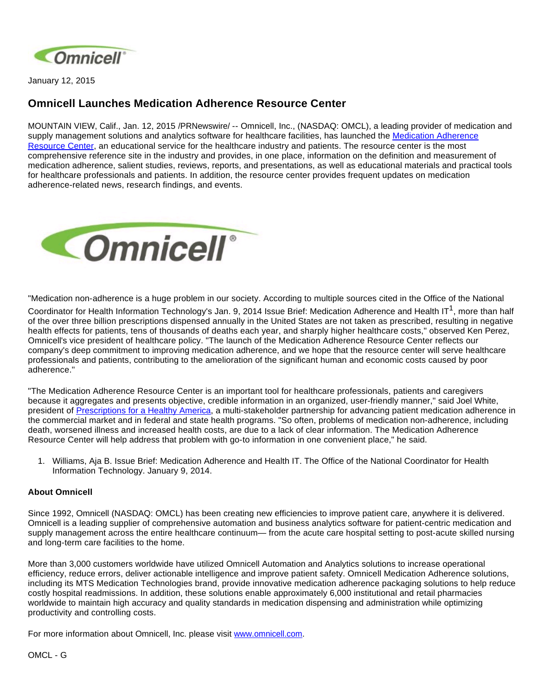

January 12, 2015

## **Omnicell Launches Medication Adherence Resource Center**

MOUNTAIN VIEW, Calif., Jan. 12, 2015 /PRNewswire/ -- Omnicell, Inc., (NASDAQ: OMCL), a leading provider of medication and supply management solutions and analytics software for healthcare facilities, has launched the [Medication Adherence](http://medadherenceresources.com/)  [Resource Center,](http://medadherenceresources.com/) an educational service for the healthcare industry and patients. The resource center is the most comprehensive reference site in the industry and provides, in one place, information on the definition and measurement of medication adherence, salient studies, reviews, reports, and presentations, as well as educational materials and practical tools for healthcare professionals and patients. In addition, the resource center provides frequent updates on medication adherence-related news, research findings, and events.



"Medication non-adherence is a huge problem in our society. According to multiple sources cited in the Office of the National

Coordinator for Health Information Technology's Jan. 9, 2014 Issue Brief: Medication Adherence and Health IT<sup>1</sup>, more than half of the over three billion prescriptions dispensed annually in the United States are not taken as prescribed, resulting in negative health effects for patients, tens of thousands of deaths each year, and sharply higher healthcare costs," observed Ken Perez, Omnicell's vice president of healthcare policy. "The launch of the Medication Adherence Resource Center reflects our company's deep commitment to improving medication adherence, and we hope that the resource center will serve healthcare professionals and patients, contributing to the amelioration of the significant human and economic costs caused by poor adherence."

"The Medication Adherence Resource Center is an important tool for healthcare professionals, patients and caregivers because it aggregates and presents objective, credible information in an organized, user-friendly manner," said Joel White, president of [Prescriptions for a Healthy America](http://www.adhereforhealth.org/), a multi-stakeholder partnership for advancing patient medication adherence in the commercial market and in federal and state health programs. "So often, problems of medication non-adherence, including death, worsened illness and increased health costs, are due to a lack of clear information. The Medication Adherence Resource Center will help address that problem with go-to information in one convenient place," he said.

1. Williams, Aja B. Issue Brief: Medication Adherence and Health IT. The Office of the National Coordinator for Health Information Technology. January 9, 2014.

## **About Omnicell**

Since 1992, Omnicell (NASDAQ: OMCL) has been creating new efficiencies to improve patient care, anywhere it is delivered. Omnicell is a leading supplier of comprehensive automation and business analytics software for patient-centric medication and supply management across the entire healthcare continuum— from the acute care hospital setting to post-acute skilled nursing and long-term care facilities to the home.

More than 3,000 customers worldwide have utilized Omnicell Automation and Analytics solutions to increase operational efficiency, reduce errors, deliver actionable intelligence and improve patient safety. Omnicell Medication Adherence solutions, including its MTS Medication Technologies brand, provide innovative medication adherence packaging solutions to help reduce costly hospital readmissions. In addition, these solutions enable approximately 6,000 institutional and retail pharmacies worldwide to maintain high accuracy and quality standards in medication dispensing and administration while optimizing productivity and controlling costs.

For more information about Omnicell, Inc. please visit [www.omnicell.com](http://www.omnicell.com/).

OMCL - G